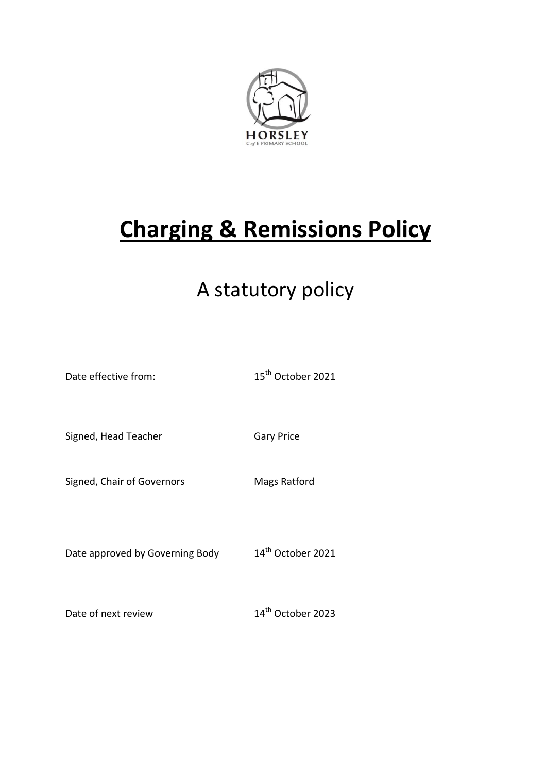

# **Charging & Remissions Policy**

## A statutory policy

Date effective from: 15<sup>th</sup> October 2021 Signed, Head Teacher Gary Price Signed, Chair of Governors Mags Ratford Date approved by Governing Body 14<sup>th</sup> October 2021 Date of next review 14<sup>th</sup> October 2023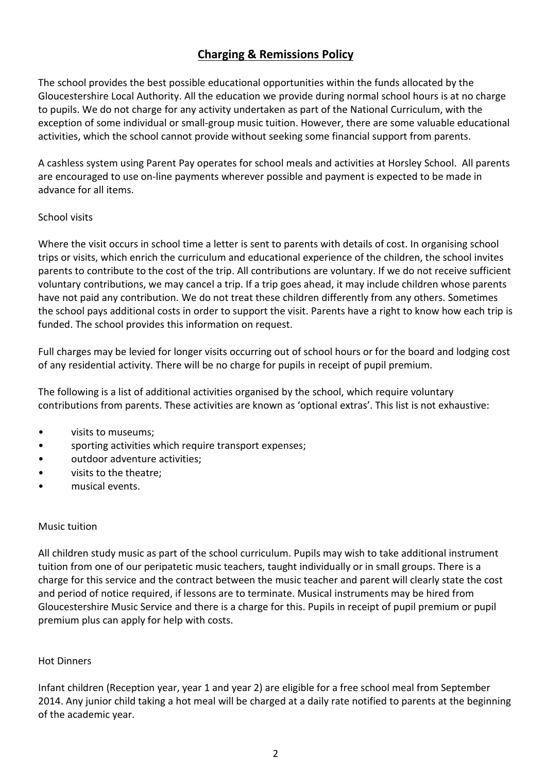### **Charging & Remissions Policy**

The school provides the best possible educational opportunities within the funds allocated by the Gloucestershire Local Authority. All the education we provide during normal school hours is at no charge to pupils. We do not charge for any activity undertaken as part of the National Curriculum, with the exception of some individual or small-group music tuition. However, there are some valuable educational activities, which the school cannot provide without seeking some financial support from parents.

A cashless system using Parent Pay operates for school meals and activities at Horsley School. All parents are encouraged to use on-line payments wherever possible and payment is expected to be made in advance for all items.

#### School visits

Where the visit occurs in school time a letter is sent to parents with details of cost. In organising school trips or visits, which enrich the curriculum and educational experience of the children, the school invites parents to contribute to the cost of the trip. All contributions are voluntary. If we do not receive sufficient voluntary contributions, we may cancel a trip. If a trip goes ahead, it may include children whose parents have not paid any contribution. We do not treat these children differently from any others. Sometimes the school pays additional costs in order to support the visit. Parents have a right to know how each trip is funded. The school provides this information on request.

Full charges may be levied for longer visits occurring out of school hours or for the board and lodging cost of any residential activity. There will be no charge for pupils in receipt of pupil premium.

The following is a list of additional activities organised by the school, which require voluntary contributions from parents. These activities are known as 'optional extras'. This list is not exhaustive:

- visits to museums;
- sporting activities which require transport expenses;
- outdoor adventure activities;
- visits to the theatre;
- musical events.

#### Music tuition

All children study music as part of the school curriculum. Pupils may wish to take additional instrument tuition from one of our peripatetic music teachers, taught individually or in small groups. There is a charge for this service and the contract between the music teacher and parent will clearly state the cost and period of notice required, if lessons are to terminate. Musical instruments may be hired from Gloucestershire Music Service and there is a charge for this. Pupils in receipt of pupil premium or pupil premium plus can apply for help with costs.

#### Hot Dinners

Infant children (Reception year, year 1 and year 2) are eligible for a free school meal from September 2014. Any junior child taking a hot meal will be charged at a daily rate notified to parents at the beginning of the academic year.